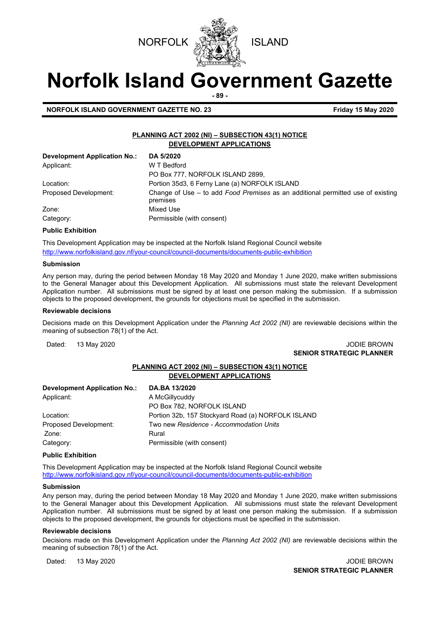



# **Norfolk Island Government Gazette**

**- 89 -**

#### **NORFOLK ISLAND GOVERNMENT GAZETTE NO. 23 Friday 15 May 2020**

#### **PLANNING ACT 2002 (NI) – SUBSECTION 43(1) NOTICE DEVELOPMENT APPLICATIONS**

| <b>Development Application No.:</b> | DA 5/2020                                                                                     |
|-------------------------------------|-----------------------------------------------------------------------------------------------|
| Applicant:                          | W T Bedford                                                                                   |
|                                     | PO Box 777, NORFOLK ISLAND 2899,                                                              |
| Location:                           | Portion 35d3, 6 Ferny Lane (a) NORFOLK ISLAND                                                 |
| Proposed Development:               | Change of Use $-$ to add Food Premises as an additional permitted use of existing<br>premises |
| Zone:                               | Mixed Use                                                                                     |
| Category:                           | Permissible (with consent)                                                                    |

#### **Public Exhibition**

This Development Application may be inspected at the Norfolk Island Regional Council website <http://www.norfolkisland.gov.nf/your-council/council-documents/documents-public-exhibition>

#### **Submission**

Any person may, during the period between Monday 18 May 2020 and Monday 1 June 2020, make written submissions to the General Manager about this Development Application. All submissions must state the relevant Development Application number. All submissions must be signed by at least one person making the submission. If a submission objects to the proposed development, the grounds for objections must be specified in the submission.

#### **Reviewable decisions**

Decisions made on this Development Application under the *Planning Act 2002 (NI)* are reviewable decisions within the meaning of subsection 78(1) of the Act.

Dated: 13 May 2020 **JODIE BROWN SENIOR STRATEGIC PLANNER** 

#### **PLANNING ACT 2002 (NI) – SUBSECTION 43(1) NOTICE DEVELOPMENT APPLICATIONS**

| <b>Development Application No.:</b> | DA.BA 13/2020                                      |
|-------------------------------------|----------------------------------------------------|
| Applicant:                          | A McGillycuddy                                     |
|                                     | PO Box 782, NORFOLK ISLAND                         |
| Location:                           | Portion 32b, 157 Stockyard Road (a) NORFOLK ISLAND |
| Proposed Development:               | Two new Residence - Accommodation Units            |
| Zone:                               | Rural                                              |
| Category:                           | Permissible (with consent)                         |

#### **Public Exhibition**

This Development Application may be inspected at the Norfolk Island Regional Council website <http://www.norfolkisland.gov.nf/your-council/council-documents/documents-public-exhibition>

#### **Submission**

Any person may, during the period between Monday 18 May 2020 and Monday 1 June 2020, make written submissions to the General Manager about this Development Application. All submissions must state the relevant Development Application number. All submissions must be signed by at least one person making the submission. If a submission objects to the proposed development, the grounds for objections must be specified in the submission.

#### **Reviewable decisions**

Decisions made on this Development Application under the *Planning Act 2002 (NI)* are reviewable decisions within the meaning of subsection 78(1) of the Act.

Dated: 13 May 2020 **Dated: 13 May 2020 SENIOR STRATEGIC PLANNER**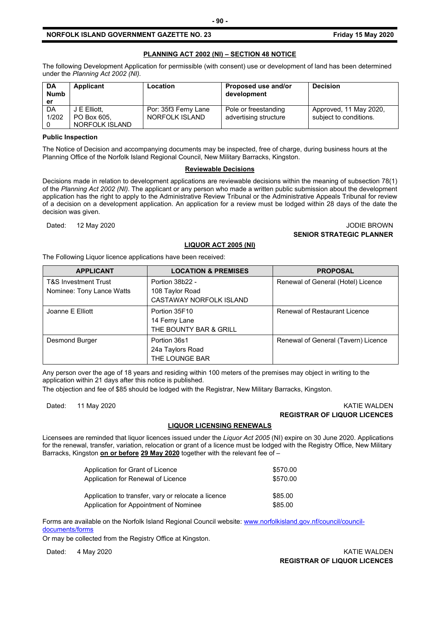#### **NORFOLK ISLAND GOVERNMENT GAZETTE NO. 23 Friday 15 May 2020**

#### **PLANNING ACT 2002 (NI) – SECTION 48 NOTICE**

The following Development Application for permissible (with consent) use or development of land has been determined under the *Planning Act 2002 (NI).*

| <b>DA</b><br><b>Numb</b><br>er | Applicant                   | Location                               | Proposed use and/or<br>development            | <b>Decision</b>                                  |
|--------------------------------|-----------------------------|----------------------------------------|-----------------------------------------------|--------------------------------------------------|
| DA<br>1/202                    | J E Elliott.<br>PO Box 605. | Por: 35f3 Ferny Lane<br>NORFOLK ISLAND | Pole or freestanding<br>advertising structure | Approved, 11 May 2020,<br>subject to conditions. |
|                                | NORFOLK ISLAND              |                                        |                                               |                                                  |

#### **Public Inspection**

The Notice of Decision and accompanying documents may be inspected, free of charge, during business hours at the Planning Office of the Norfolk Island Regional Council, New Military Barracks, Kingston.

#### **Reviewable Decisions**

Decisions made in relation to development applications are reviewable decisions within the meaning of subsection 78(1) of the *Planning Act 2002 (NI).* The applicant or any person who made a written public submission about the development application has the right to apply to the Administrative Review Tribunal or the Administrative Appeals Tribunal for review of a decision on a development application. An application for a review must be lodged within 28 days of the date the decision was given.

#### Dated: 12 May 2020 **JODIE BROWN SENIOR STRATEGIC PLANNER**

#### **LIQUOR ACT 2005 (NI)**

The Following Liquor licence applications have been received:

| <b>APPLICANT</b>                | <b>LOCATION &amp; PREMISES</b> | <b>PROPOSAL</b>                     |
|---------------------------------|--------------------------------|-------------------------------------|
| <b>T&amp;S Investment Trust</b> | Portion 38b22 -                | Renewal of General (Hotel) Licence  |
| Nominee: Tony Lance Watts       | 108 Taylor Road                |                                     |
|                                 | CASTAWAY NORFOLK ISLAND        |                                     |
| Joanne E Elliott                | Portion 35F10                  | Renewal of Restaurant Licence       |
|                                 | 14 Ferny Lane                  |                                     |
|                                 | THE BOUNTY BAR & GRILL         |                                     |
| Desmond Burger                  | Portion 36s1                   | Renewal of General (Tavern) Licence |
|                                 | 24a Taylors Road               |                                     |
|                                 | THE LOUNGE BAR                 |                                     |

Any person over the age of 18 years and residing within 100 meters of the premises may object in writing to the application within 21 days after this notice is published.

The objection and fee of \$85 should be lodged with the Registrar, New Military Barracks, Kingston.

#### Dated: 11 May 2020 KATIE WALDEN **REGISTRAR OF LIQUOR LICENCES**

#### **LIQUOR LICENSING RENEWALS**

Licensees are reminded that liquor licences issued under the *Liquor Act 2005* (NI) expire on 30 June 2020. Applications for the renewal, transfer, variation, relocation or grant of a licence must be lodged with the Registry Office, New Military Barracks, Kingston **on or before 29 May 2020** together with the relevant fee of –

| Application for Grant of Licence                    | \$570.00 |
|-----------------------------------------------------|----------|
| Application for Renewal of Licence                  | \$570.00 |
| Application to transfer, vary or relocate a licence | \$85.00  |
| Application for Appointment of Nominee              | \$85.00  |

Forms are available on the Norfolk Island Regional Council website: [www.norfolkisland.gov.nf/council/council](http://www.norfolkisland.gov.nf/council/council-documents/forms)[documents/forms](http://www.norfolkisland.gov.nf/council/council-documents/forms)

Or may be collected from the Registry Office at Kingston.

Dated: 4 May 2020 **KATIE WALDEN REGISTRAR OF LIQUOR LICENCES**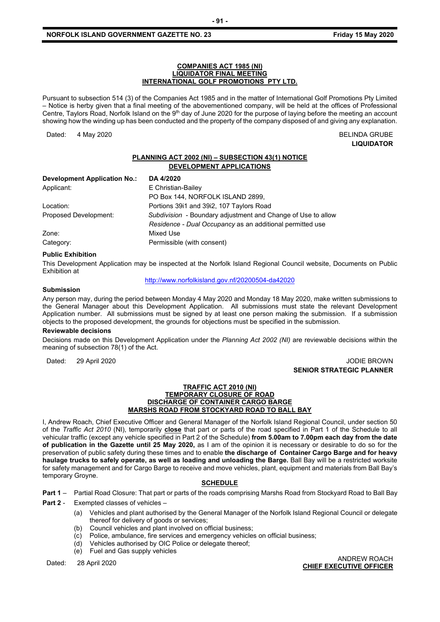#### **COMPANIES ACT 1985 (NI) LIQUIDATOR FINAL MEETING INTERNATIONAL GOLF PROMOTIONS PTY LTD.**

Pursuant to subsection 514 (3) of the Companies Act 1985 and in the matter of International Golf Promotions Pty Limited – Notice is herby given that a final meeting of the abovementioned company, will be held at the offices of Professional Centre, Taylors Road, Norfolk Island on the 9<sup>th</sup> day of June 2020 for the purpose of laying before the meeting an account showing how the winding up has been conducted and the property of the company disposed of and giving any explanation.

Dated: 4 May 2020 **BELINDA GRUBE** 

**LIQUIDATOR**

#### **PLANNING ACT 2002 (NI) – SUBSECTION 43(1) NOTICE DEVELOPMENT APPLICATIONS**

| <b>Development Application No.:</b> | DA 4/2020                                                    |
|-------------------------------------|--------------------------------------------------------------|
| Applicant:                          | E Christian-Bailey                                           |
|                                     | PO Box 144, NORFOLK ISLAND 2899,                             |
| Location:                           | Portions 3911 and 3912, 107 Taylors Road                     |
| Proposed Development:               | Subdivision - Boundary adjustment and Change of Use to allow |
|                                     | Residence - Dual Occupancy as an additional permitted use    |
| Zone:                               | Mixed Use                                                    |
| Category:                           | Permissible (with consent)                                   |

#### **Public Exhibition**

This Development Application may be inspected at the Norfolk Island Regional Council website, Documents on Public Exhibition at

<http://www.norfolkisland.gov.nf/20200504-da42020>

#### **Submission**

Any person may, during the period between Monday 4 May 2020 and Monday 18 May 2020, make written submissions to the General Manager about this Development Application. All submissions must state the relevant Development Application number. All submissions must be signed by at least one person making the submission. If a submission objects to the proposed development, the grounds for objections must be specified in the submission.

#### **Reviewable decisions**

Decisions made on this Development Application under the *Planning Act 2002 (NI)* are reviewable decisions within the meaning of subsection 78(1) of the Act.

Dated: 29 April 2020 JODIE BROWN

### **SENIOR STRATEGIC PLANNER**

#### **TRAFFIC ACT 2010 (NI) TEMPORARY CLOSURE OF ROAD DISCHARGE OF CONTAINER CARGO BARGE MARSHS ROAD FROM STOCKYARD ROAD TO BALL BAY**

I, Andrew Roach, Chief Executive Officer and General Manager of the Norfolk Island Regional Council, under section 50 of the *Traffic Act 2010* (NI), temporarily **close** that part or parts of the road specified in Part 1 of the Schedule to all vehicular traffic (except any vehicle specified in Part 2 of the Schedule) **from 5.00am to 7.00pm each day from the date of publication in the Gazette until 25 May 2020,** as I am of the opinion it is necessary or desirable to do so for the preservation of public safety during these times and to enable **the discharge of Container Cargo Barge and for heavy haulage trucks to safely operate, as well as loading and unloading the Barge.** Ball Bay will be a restricted worksite for safety management and for Cargo Barge to receive and move vehicles, plant, equipment and materials from Ball Bay's temporary Groyne.

#### **SCHEDULE**

**Part 1** – Partial Road Closure: That part or parts of the roads comprising Marshs Road from Stockyard Road to Ball Bay

- **Part 2** Exempted classes of vehicles
	- (a) Vehicles and plant authorised by the General Manager of the Norfolk Island Regional Council or delegate thereof for delivery of goods or services;
	- (b) Council vehicles and plant involved on official business;
	- (c) Police, ambulance, fire services and emergency vehicles on official business;
	- (d) Vehicles authorised by OIC Police or delegate thereof;
	- (e) Fuel and Gas supply vehicles

Dated: 28 April 2020 ANDREW ROACH **CHIEF EXECUTIVE OFFICER**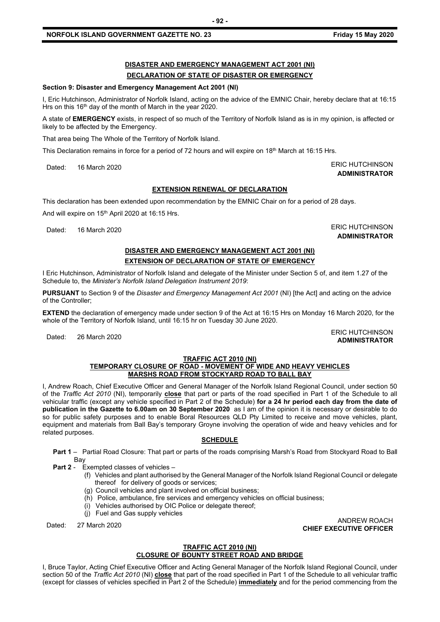## **DISASTER AND EMERGENCY MANAGEMENT ACT 2001 (NI)**

### **DECLARATION OF STATE OF DISASTER OR EMERGENCY**

#### **Section 9: Disaster and Emergency Management Act 2001 (NI)**

I, Eric Hutchinson, Administrator of Norfolk Island, acting on the advice of the EMNIC Chair, hereby declare that at 16:15 Hrs on this 16<sup>th</sup> day of the month of March in the year 2020.

**- 92 -**

A state of **EMERGENCY** exists, in respect of so much of the Territory of Norfolk Island as is in my opinion, is affected or likely to be affected by the Emergency.

That area being The Whole of the Territory of Norfolk Island.

This Declaration remains in force for a period of 72 hours and will expire on 18<sup>th</sup> March at 16:15 Hrs.

Dated: 16 March 2020 ERIC HUTCHINSON

## **ADMINISTRATOR**

#### **EXTENSION RENEWAL OF DECLARATION**

This declaration has been extended upon recommendation by the EMNIC Chair on for a period of 28 days.

And will expire on 15<sup>th</sup> April 2020 at 16:15 Hrs.

Dated: 16 March 2020 **ERIC HUTCHINSON ADMINISTRATOR**

**ADMINISTRATOR**

#### **DISASTER AND EMERGENCY MANAGEMENT ACT 2001 (NI) EXTENSION OF DECLARATION OF STATE OF EMERGENCY**

I Eric Hutchinson, Administrator of Norfolk Island and delegate of the Minister under Section 5 of, and item 1.27 of the Schedule to, the *Minister's Norfolk Island Delegation Instrument 2019*:

**PURSUANT** to Section 9 of the *Disaster and Emergency Management Act 2001* (NI) [the Act] and acting on the advice of the Controller;

**EXTEND** the declaration of emergency made under section 9 of the Act at 16:15 Hrs on Monday 16 March 2020, for the whole of the Territory of Norfolk Island, until 16:15 hr on Tuesday 30 June 2020.

Dated: 26 March 2020<br>Dated: 26 March 2020

#### **TRAFFIC ACT 2010 (NI)**

#### **TEMPORARY CLOSURE OF ROAD - MOVEMENT OF WIDE AND HEAVY VEHICLES MARSHS ROAD FROM STOCKYARD ROAD TO BALL BAY**

I, Andrew Roach, Chief Executive Officer and General Manager of the Norfolk Island Regional Council, under section 50 of the *Traffic Act 2010* (NI), temporarily **close** that part or parts of the road specified in Part 1 of the Schedule to all vehicular traffic (except any vehicle specified in Part 2 of the Schedule) **for a 24 hr period each day from the date of publication in the Gazette to 6.00am on 30 September 2020** as I am of the opinion it is necessary or desirable to do so for public safety purposes and to enable Boral Resources QLD Pty Limited to receive and move vehicles, plant, equipment and materials from Ball Bay's temporary Groyne involving the operation of wide and heavy vehicles and for related purposes.

#### **SCHEDULE**

**Part 1** – Partial Road Closure: That part or parts of the roads comprising Marsh's Road from Stockyard Road to Ball Bay

- **Part 2** Exempted classes of vehicles
	- (f) Vehicles and plant authorised by the General Manager of the Norfolk Island Regional Council or delegate thereof for delivery of goods or services;
	- (g) Council vehicles and plant involved on official business;
	- (h) Police, ambulance, fire services and emergency vehicles on official business;
	- (i) Vehicles authorised by OIC Police or delegate thereof;
	- (j) Fuel and Gas supply vehicles

Dated: 27 March 2020 ANDREW ROACH **CHIEF EXECUTIVE OFFICER**

#### **TRAFFIC ACT 2010 (NI) CLOSURE OF BOUNTY STREET ROAD AND BRIDGE**

I, Bruce Taylor, Acting Chief Executive Officer and Acting General Manager of the Norfolk Island Regional Council, under section 50 of the *Traffic Act 2010* (NI) **close** that part of the road specified in Part 1 of the Schedule to all vehicular traffic (except for classes of vehicles specified in Part 2 of the Schedule) **immediately** and for the period commencing from the